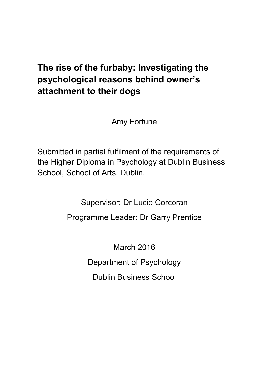# **The rise of the furbaby: Investigating the psychological reasons behind owner's attachment to their dogs**

Amy Fortune

Submitted in partial fulfilment of the requirements of the Higher Diploma in Psychology at Dublin Business School, School of Arts, Dublin.

Supervisor: Dr Lucie Corcoran

Programme Leader: Dr Garry Prentice

March 2016 Department of Psychology Dublin Business School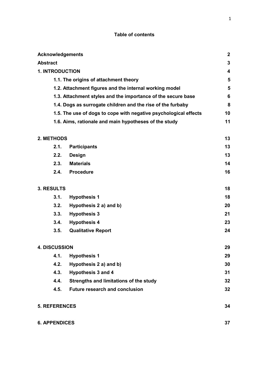## **Table of contents**

| <b>Acknowledgements</b> |                                                                  | $\mathbf{2}$   |
|-------------------------|------------------------------------------------------------------|----------------|
| <b>Abstract</b>         |                                                                  | 3              |
| <b>1. INTRODUCTION</b>  |                                                                  | $\overline{4}$ |
|                         | 1.1. The origins of attachment theory                            | 5              |
|                         | 1.2. Attachment figures and the internal working model           | 5              |
|                         | 1.3. Attachment styles and the importance of the secure base     | 6              |
|                         | 1.4. Dogs as surrogate children and the rise of the furbaby      | 8              |
|                         | 1.5. The use of dogs to cope with negative psychological effects | 10             |
|                         | 1.6. Aims, rationale and main hypotheses of the study            | 11             |
| 2. METHODS              |                                                                  | 13             |
| 2.1.                    | <b>Participants</b>                                              | 13             |
| 2.2.                    | <b>Design</b>                                                    | 13             |
| 2.3.                    | <b>Materials</b>                                                 | 14             |
| 2.4.                    | <b>Procedure</b>                                                 | 16             |
| 3. RESULTS              |                                                                  | 18             |
| 3.1.                    | <b>Hypothesis 1</b>                                              | 18             |
| 3.2.                    | Hypothesis 2 a) and b)                                           | 20             |
| 3.3.                    | <b>Hypothesis 3</b>                                              | 21             |
| 3.4.                    | <b>Hypothesis 4</b>                                              | 23             |
| 3.5.                    | <b>Qualitative Report</b>                                        | 24             |
| <b>4. DISCUSSION</b>    |                                                                  | 29             |
| 4.1.                    | <b>Hypothesis 1</b>                                              | 29             |
| 4.2.                    | Hypothesis 2 a) and b)                                           | 30             |
| 4.3.                    | Hypothesis 3 and 4                                               | 31             |
| 4.4.                    | Strengths and limitations of the study                           | 32             |
| 4.5.                    | <b>Future research and conclusion</b>                            | 32             |
| <b>5. REFERENCES</b>    |                                                                  | 34             |
| <b>6. APPENDICES</b>    |                                                                  | 37             |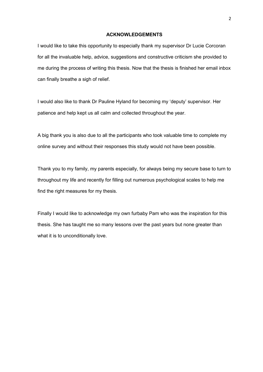#### **ACKNOWLEDGEMENTS**

I would like to take this opportunity to especially thank my supervisor Dr Lucie Corcoran for all the invaluable help, advice, suggestions and constructive criticism she provided to me during the process of writing this thesis. Now that the thesis is finished her email inbox can finally breathe a sigh of relief.

I would also like to thank Dr Pauline Hyland for becoming my 'deputy' supervisor. Her patience and help kept us all calm and collected throughout the year.

A big thank you is also due to all the participants who took valuable time to complete my online survey and without their responses this study would not have been possible.

Thank you to my family, my parents especially, for always being my secure base to turn to throughout my life and recently for filling out numerous psychological scales to help me find the right measures for my thesis.

Finally I would like to acknowledge my own furbaby Pam who was the inspiration for this thesis. She has taught me so many lessons over the past years but none greater than what it is to unconditionally love.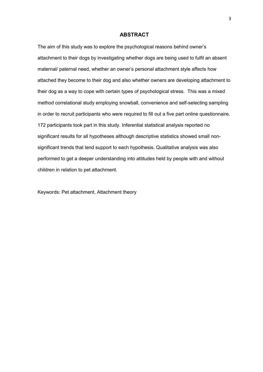#### **ABSTRACT**

The aim of this study was to explore the psychological reasons behind owner's attachment to their dogs by investigating whether dogs are being used to fulfil an absent maternal/ paternal need, whether an owner's personal attachment style affects how attached they become to their dog and also whether owners are developing attachment to their dog as a way to cope with certain types of psychological stress. This was a mixed method correlational study employing snowball, convenience and self-selecting sampling in order to recruit participants who were required to fill out a five part online questionnaire. 172 participants took part in this study. Inferential statistical analysis reported no significant results for all hypotheses although descriptive statistics showed small nonsignificant trends that lend support to each hypothesis. Qualitative analysis was also performed to get a deeper understanding into attitudes held by people with and without children in relation to pet attachment.

Keywords: Pet attachment, Attachment theory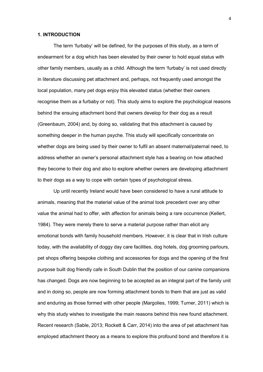#### **1. INTRODUCTION**

The term 'furbaby' will be defined, for the purposes of this study, as a term of endearment for a dog which has been elevated by their owner to hold equal status with other family members, usually as a child. Although the term 'furbaby' is not used directly in literature discussing pet attachment and, perhaps, not frequently used amongst the local population, many pet dogs enjoy this elevated status (whether their owners recognise them as a furbaby or not). This study aims to explore the psychological reasons behind the ensuing attachment bond that owners develop for their dog as a result (Greenbaum, 2004) and, by doing so, validating that this attachment is caused by something deeper in the human psyche. This study will specifically concentrate on whether dogs are being used by their owner to fulfil an absent maternal/paternal need, to address whether an owner's personal attachment style has a bearing on how attached they become to their dog and also to explore whether owners are developing attachment to their dogs as a way to cope with certain types of psychological stress.

Up until recently Ireland would have been considered to have a rural attitude to animals, meaning that the material value of the animal took precedent over any other value the animal had to offer, with affection for animals being a rare occurrence (Kellert, 1984). They were merely there to serve a material purpose rather than elicit any emotional bonds with family household members. However, it is clear that in Irish culture today, with the availability of doggy day care facilities, dog hotels, dog grooming parlours, pet shops offering bespoke clothing and accessories for dogs and the opening of the first purpose built dog friendly cafe in South Dublin that the position of our canine companions has changed. Dogs are now beginning to be accepted as an integral part of the family unit and in doing so, people are now forming attachment bonds to them that are just as valid and enduring as those formed with other people (Margolies, 1999; Turner, 2011) which is why this study wishes to investigate the main reasons behind this new found attachment. Recent research (Sable, 2013; Rockett & Carr, 2014) into the area of pet attachment has employed attachment theory as a means to explore this profound bond and therefore it is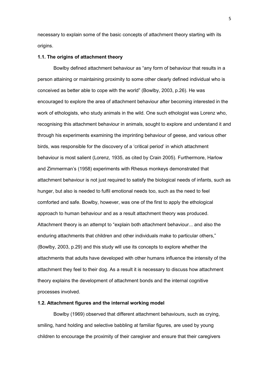necessary to explain some of the basic concepts of attachment theory starting with its origins.

#### **1.1. The origins of attachment theory**

Bowlby defined attachment behaviour as "any form of behaviour that results in a person attaining or maintaining proximity to some other clearly defined individual who is conceived as better able to cope with the world" (Bowlby, 2003, p.26). He was encouraged to explore the area of attachment behaviour after becoming interested in the work of ethologists, who study animals in the wild. One such ethologist was Lorenz who, recognising this attachment behaviour in animals, sought to explore and understand it and through his experiments examining the imprinting behaviour of geese, and various other birds, was responsible for the discovery of a 'critical period' in which attachment behaviour is most salient (Lorenz, 1935, as cited by Crain 2005). Furthermore, Harlow and Zimmerman's (1958) experiments with Rhesus monkeys demonstrated that attachment behaviour is not just required to satisfy the biological needs of infants, such as hunger, but also is needed to fulfil emotional needs too, such as the need to feel comforted and safe. Bowlby, however, was one of the first to apply the ethological approach to human behaviour and as a result attachment theory was produced. Attachment theory is an attempt to "explain both attachment behaviour... and also the enduring attachments that children and other individuals make to particular others," (Bowlby, 2003, p.29) and this study will use its concepts to explore whether the attachments that adults have developed with other humans influence the intensity of the attachment they feel to their dog. As a result it is necessary to discuss how attachment theory explains the development of attachment bonds and the internal cognitive processes involved.

#### **1.2. Attachment figures and the internal working model**

Bowlby (1969) observed that different attachment behaviours, such as crying, smiling, hand holding and selective babbling at familiar figures, are used by young children to encourage the proximity of their caregiver and ensure that their caregivers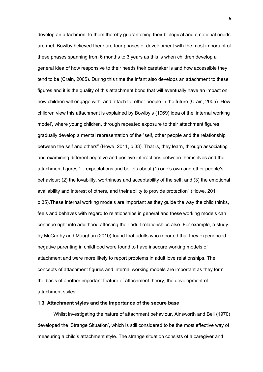develop an attachment to them thereby guaranteeing their biological and emotional needs are met. Bowlby believed there are four phases of development with the most important of these phases spanning from 6 months to 3 years as this is when children develop a general idea of how responsive to their needs their caretaker is and how accessible they tend to be (Crain, 2005). During this time the infant also develops an attachment to these figures and it is the quality of this attachment bond that will eventually have an impact on how children will engage with, and attach to, other people in the future (Crain, 2005). How children view this attachment is explained by Bowlby's (1969) idea of the 'internal working model', where young children, through repeated exposure to their attachment figures gradually develop a mental representation of the "self, other people and the relationship between the self and others" (Howe, 2011, p.33). That is, they learn, through associating and examining different negative and positive interactions between themselves and their attachment figures "... expectations and beliefs about (1) one's own and other people's behaviour; (2) the lovability, worthiness and acceptability of the self; and (3) the emotional availability and interest of others, and their ability to provide protection" (Howe, 2011, p.35).These internal working models are important as they guide the way the child thinks, feels and behaves with regard to relationships in general and these working models can continue right into adulthood affecting their adult relationships also. For example, a study by McCarthy and Maughan (2010) found that adults who reported that they experienced negative parenting in childhood were found to have insecure working models of attachment and were more likely to report problems in adult love relationships. The concepts of attachment figures and internal working models are important as they form the basis of another important feature of attachment theory, the development of attachment styles.

#### **1.3. Attachment styles and the importance of the secure base**

Whilst investigating the nature of attachment behaviour, Ainsworth and Bell (1970) developed the 'Strange Situation', which is still considered to be the most effective way of measuring a child's attachment style. The strange situation consists of a caregiver and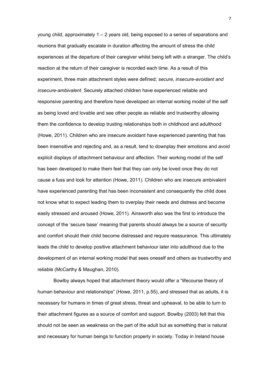young child, approximately 1 – 2 years old, being exposed to a series of separations and reunions that gradually escalate in duration affecting the amount of stress the child experiences at the departure of their caregiver whilst being left with a stranger. The child's reaction at the return of their caregiver is recorded each time. As a result of this experiment, three main attachment styles were defined; *secure*, *insecure-avoidant and insecure-ambivalent*. Securely attached children have experienced reliable and responsive parenting and therefore have developed an internal working model of the self as being loved and lovable and see other people as reliable and trustworthy allowing them the confidence to develop trusting relationships both in childhood and adulthood (Howe, 2011). Children who are insecure avoidant have experienced parenting that has been insensitive and rejecting and, as a result, tend to downplay their emotions and avoid explicit displays of attachment behaviour and affection. Their working model of the self has been developed to make them feel that they can only be loved once they do not cause a fuss and look for attention (Howe, 2011). Children who are insecure ambivalent have experienced parenting that has been inconsistent and consequently the child does not know what to expect leading them to overplay their needs and distress and become easily stressed and aroused (Howe, 2011). Ainsworth also was the first to introduce the concept of the 'secure base' meaning that parents should always be a source of security and comfort should their child become distressed and require reassurance. This ultimately leads the child to develop positive attachment behaviour later into adulthood due to the development of an internal working model that sees oneself and others as trustworthy and reliable (McCarthy & Maughan, 2010).

Bowlby always hoped that attachment theory would offer a "lifecourse theory of human behaviour and relationships" (Howe, 2011, p.55), and stressed that as adults, it is necessary for humans in times of great stress, threat and upheaval, to be able to turn to their attachment figures as a source of comfort and support. Bowlby (2003) felt that this should not be seen as weakness on the part of the adult but as something that is natural and necessary for human beings to function properly in society. Today in Ireland house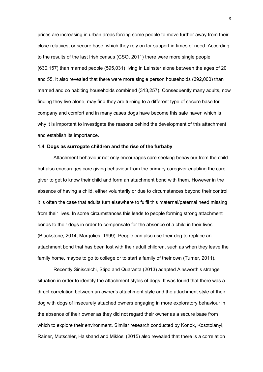prices are increasing in urban areas forcing some people to move further away from their close relatives, or secure base, which they rely on for support in times of need. According to the results of the last Irish census (CSO, 2011) there were more single people (630,157) than married people (595,031) living in Leinster alone between the ages of 20 and 55. It also revealed that there were more single person households (392,000) than married and co habiting households combined (313,257). Consequently many adults, now finding they live alone, may find they are turning to a different type of secure base for company and comfort and in many cases dogs have become this safe haven which is why it is important to investigate the reasons behind the development of this attachment and establish its importance.

#### **1.4. Dogs as surrogate children and the rise of the furbaby**

Attachment behaviour not only encourages care seeking behaviour from the child but also encourages care giving behaviour from the primary caregiver enabling the care giver to get to know their child and form an attachment bond with them. However in the absence of having a child, either voluntarily or due to circumstances beyond their control, it is often the case that adults turn elsewhere to fulfil this maternal/paternal need missing from their lives. In some circumstances this leads to people forming strong attachment bonds to their dogs in order to compensate for the absence of a child in their lives (Blackstone, 2014; Margolies, 1999). People can also use their dog to replace an attachment bond that has been lost with their adult children, such as when they leave the family home, maybe to go to college or to start a family of their own (Turner, 2011).

Recently Siniscalchi, Stipo and Quaranta (2013) adapted Ainsworth's strange situation in order to identify the attachment styles of dogs. It was found that there was a direct correlation between an owner's attachment style and the attachment style of their dog with dogs of insecurely attached owners engaging in more exploratory behaviour in the absence of their owner as they did not regard their owner as a secure base from which to explore their environment. Similar research conducted by Konok, Kosztolányi, Rainer, Mutschler, Halsband and Miklósi (2015) also revealed that there is a correlation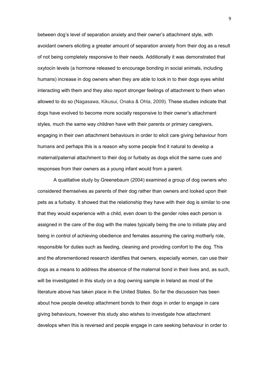between dog's level of separation anxiety and their owner's attachment style, with avoidant owners eliciting a greater amount of separation anxiety from their dog as a result of not being completely responsive to their needs. Additionally it was demonstrated that oxytocin levels (a hormone released to encourage bonding in social animals, including humans) increase in dog owners when they are able to look in to their dogs eyes whilst interacting with them and they also report stronger feelings of attachment to them when allowed to do so (Nagasawa, Kikusui, Onaka & Ohta, 2009). These studies indicate that dogs have evolved to become more socially responsive to their owner's attachment styles, much the same way children have with their parents or primary caregivers, engaging in their own attachment behaviours in order to elicit care giving behaviour from humans and perhaps this is a reason why some people find it natural to develop a maternal/paternal attachment to their dog or furbaby as dogs elicit the same cues and responses from their owners as a young infant would from a parent.

A qualitative study by Greenebaum (2004) examined a group of dog owners who considered themselves as parents of their dog rather than owners and looked upon their pets as a furbaby. It showed that the relationship they have with their dog is similar to one that they would experience with a child, even down to the gender roles each person is assigned in the care of the dog with the males typically being the one to initiate play and being in control of achieving obedience and females assuming the caring motherly role, responsible for duties such as feeding, cleaning and providing comfort to the dog. This and the aforementioned research identifies that owners, especially women, can use their dogs as a means to address the absence of the maternal bond in their lives and, as such, will be investigated in this study on a dog owning sample in Ireland as most of the literature above has taken place in the United States. So far the discussion has been about how people develop attachment bonds to their dogs in order to engage in care giving behaviours, however this study also wishes to investigate how attachment develops when this is reversed and people engage in care seeking behaviour in order to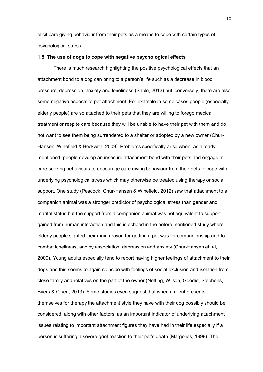elicit care giving behaviour from their pets as a means to cope with certain types of psychological stress.

#### **1.5. The use of dogs to cope with negative psychological effects**

There is much research highlighting the positive psychological effects that an attachment bond to a dog can bring to a person's life such as a decrease in blood pressure, depression, anxiety and loneliness (Sable, 2013) but, conversely, there are also some negative aspects to pet attachment. For example in some cases people (especially elderly people) are so attached to their pets that they are willing to forego medical treatment or respite care because they will be unable to have their pet with them and do not want to see them being surrendered to a shelter or adopted by a new owner (Chur-Hansen, Winefield & Beckwith, 2009). Problems specifically arise when, as already mentioned, people develop an insecure attachment bond with their pets and engage in care seeking behaviours to encourage care giving behaviour from their pets to cope with underlying psychological stress which may otherwise be treated using therapy or social support. One study (Peacock, Chur-Hansen & Winefield, 2012) saw that attachment to a companion animal was a stronger predictor of psychological stress than gender and marital status but the support from a companion animal was not equivalent to support gained from human interaction and this is echoed in the before mentioned study where elderly people sighted their main reason for getting a pet was for companionship and to combat loneliness, and by association, depression and anxiety (Chur-Hansen et. al, 2009). Young adults especially tend to report having higher feelings of attachment to their dogs and this seems to again coincide with feelings of social exclusion and isolation from close family and relatives on the part of the owner (Netting, Wilson, Goodie, Stephens, Byers & Olsen, 2013). Some studies even suggest that when a client presents themselves for therapy the attachment style they have with their dog possibly should be considered, along with other factors, as an important indicator of underlying attachment issues relating to important attachment figures they have had in their life especially if a person is suffering a severe grief reaction to their pet's death (Margolies, 1999). The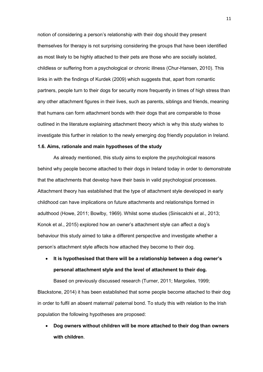notion of considering a person's relationship with their dog should they present themselves for therapy is not surprising considering the groups that have been identified as most likely to be highly attached to their pets are those who are socially isolated, childless or suffering from a psychological or chronic illness (Chur-Hansen, 2010). This links in with the findings of Kurdek (2009) which suggests that, apart from romantic partners, people turn to their dogs for security more frequently in times of high stress than any other attachment figures in their lives, such as parents, siblings and friends, meaning that humans can form attachment bonds with their dogs that are comparable to those outlined in the literature explaining attachment theory which is why this study wishes to investigate this further in relation to the newly emerging dog friendly population in Ireland.

#### **1.6. Aims, rationale and main hypotheses of the study**

As already mentioned, this study aims to explore the psychological reasons behind why people become attached to their dogs in Ireland today in order to demonstrate that the attachments that develop have their basis in valid psychological processes. Attachment theory has established that the type of attachment style developed in early childhood can have implications on future attachments and relationships formed in adulthood (Howe, 2011; Bowlby, 1969). Whilst some studies (Siniscalchi et al., 2013; Konok et al., 2015) explored how an owner's attachment style can affect a dog's behaviour this study aimed to take a different perspective and investigate whether a person's attachment style affects how attached they become to their dog.

 **It is hypothesised that there will be a relationship between a dog owner's personal attachment style and the level of attachment to their dog.**

Based on previously discussed research (Turner, 2011; Margolies, 1999; Blackstone, 2014) it has been established that some people become attached to their dog in order to fulfil an absent maternal/ paternal bond. To study this with relation to the Irish population the following hypotheses are proposed:

 **Dog owners without children will be more attached to their dog than owners with children**.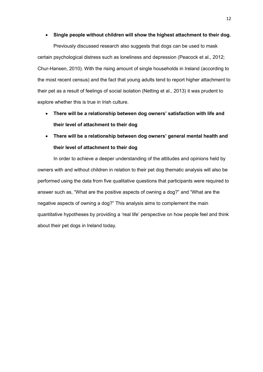#### **Single people without children will show the highest attachment to their dog.**

Previously discussed research also suggests that dogs can be used to mask certain psychological distress such as loneliness and depression (Peacock et al., 2012; Chur-Hansen, 2010). With the rising amount of single households in Ireland (according to the most recent census) and the fact that young adults tend to report higher attachment to their pet as a result of feelings of social isolation (Netting et al., 2013) it was prudent to explore whether this is true in Irish culture.

- **There will be a relationship between dog owners' satisfaction with life and their level of attachment to their dog**
- **There will be a relationship between dog owners' general mental health and their level of attachment to their dog**

In order to achieve a deeper understanding of the attitudes and opinions held by owners with and without children in relation to their pet dog thematic analysis will also be performed using the data from five qualitative questions that participants were required to answer such as, "What are the positive aspects of owning a dog?" and "What are the negative aspects of owning a dog?" This analysis aims to complement the main quantitative hypotheses by providing a 'real life' perspective on how people feel and think about their pet dogs in Ireland today.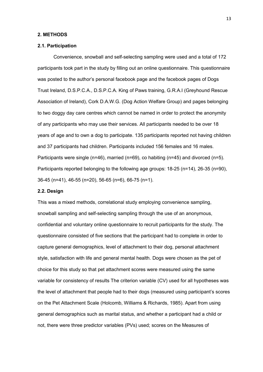#### **2. METHODS**

#### **2.1. Participation**

Convenience, snowball and self-selecting sampling were used and a total of 172 participants took part in the study by filling out an online questionnaire. This questionnaire was posted to the author's personal facebook page and the facebook pages of Dogs Trust Ireland, D.S.P.C.A., D.S.P.C.A. King of Paws training, G.R.A.I (Greyhound Rescue Association of Ireland), Cork D.A.W.G. (Dog Action Welfare Group) and pages belonging to two doggy day care centres which cannot be named in order to protect the anonymity of any participants who may use their services. All participants needed to be over 18 years of age and to own a dog to participate. 135 participants reported not having children and 37 participants had children. Participants included 156 females and 16 males. Participants were single (n=46), married (n=69), co habiting (n=45) and divorced (n=5). Participants reported belonging to the following age groups: 18-25 (n=14), 26-35 (n=90), 36-45 (n=41), 46-55 (n=20), 56-65 (n=6), 66-75 (n=1).

#### **2.2. Design**

This was a mixed methods, correlational study employing convenience sampling, snowball sampling and self-selecting sampling through the use of an anonymous, confidential and voluntary online questionnaire to recruit participants for the study. The questionnaire consisted of five sections that the participant had to complete in order to capture general demographics, level of attachment to their dog, personal attachment style, satisfaction with life and general mental health. Dogs were chosen as the pet of choice for this study so that pet attachment scores were measured using the same variable for consistency of results The criterion variable (CV) used for all hypotheses was the level of attachment that people had to their dogs (measured using participant's scores on the Pet Attachment Scale (Holcomb, Williams & Richards, 1985). Apart from using general demographics such as marital status, and whether a participant had a child or not, there were three predictor variables (PVs) used; scores on the Measures of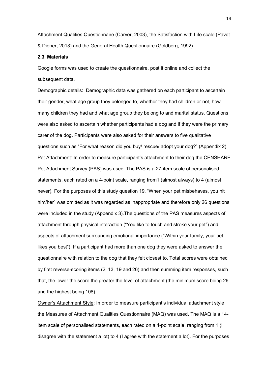Attachment Qualities Questionnaire (Carver, 2003), the Satisfaction with Life scale (Pavot & Diener, 2013) and the General Health Questionnaire (Goldberg, 1992).

#### **2.3. Materials**

Google forms was used to create the questionnaire, post it online and collect the subsequent data.

Demographic details: Demographic data was gathered on each participant to ascertain their gender, what age group they belonged to, whether they had children or not, how many children they had and what age group they belong to and marital status. Questions were also asked to ascertain whether participants had a dog and if they were the primary carer of the dog. Participants were also asked for their answers to five qualitative questions such as "For what reason did you buy/ rescue/ adopt your dog?" (Appendix 2). Pet Attachment: In order to measure participant's attachment to their dog the CENSHARE Pet Attachment Survey (PAS) was used. The PAS is a 27-item scale of personalised statements, each rated on a 4-point scale, ranging from1 (almost always) to 4 (almost never). For the purposes of this study question 19, "When your pet misbehaves, you hit him/her" was omitted as it was regarded as inappropriate and therefore only 26 questions were included in the study (Appendix 3).The questions of the PAS measures aspects of attachment through physical interaction ("You like to touch and stroke your pet") and aspects of attachment surrounding emotional importance ("Within your family, your pet likes you best"). If a participant had more than one dog they were asked to answer the questionnaire with relation to the dog that they felt closest to. Total scores were obtained by first reverse-scoring items (2, 13, 19 and 26) and then summing item responses, such that, the lower the score the greater the level of attachment (the minimum score being 26 and the highest being 108).

Owner's Attachment Style: In order to measure participant's individual attachment style the Measures of Attachment Qualities Questionnaire (MAQ) was used. The MAQ is a 14 item scale of personalised statements, each rated on a 4-point scale, ranging from 1 (I disagree with the statement a lot) to 4 (I agree with the statement a lot). For the purposes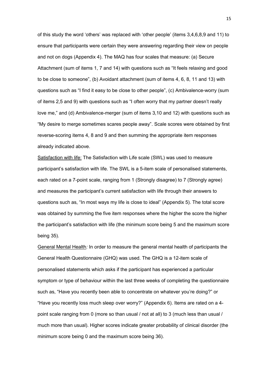of this study the word 'others' was replaced with 'other people' (items 3,4,6,8,9 and 11) to ensure that participants were certain they were answering regarding their view on people and not on dogs (Appendix 4). The MAQ has four scales that measure: (a) Secure Attachment (sum of items 1, 7 and 14) with questions such as "It feels relaxing and good to be close to someone", (b) Avoidant attachment (sum of items 4, 6, 8, 11 and 13) with questions such as "I find it easy to be close to other people", (c) Ambivalence-worry (sum of items 2,5 and 9) with questions such as "I often worry that my partner doesn't really love me," and (d) Ambivalence-merger (sum of items 3,10 and 12) with questions such as "My desire to merge sometimes scares people away". Scale scores were obtained by first reverse-scoring items 4, 8 and 9 and then summing the appropriate item responses already indicated above.

Satisfaction with life: The Satisfaction with Life scale (SWL) was used to measure participant's satisfaction with life. The SWL is a 5-item scale of personalised statements, each rated on a 7-point scale, ranging from 1 (Strongly disagree) to 7 (Strongly agree) and measures the participant's current satisfaction with life through their answers to questions such as, "In most ways my life is close to ideal" (Appendix 5). The total score was obtained by summing the five item responses where the higher the score the higher the participant's satisfaction with life (the minimum score being 5 and the maximum score being 35).

General Mental Health*:* In order to measure the general mental health of participants the General Health Questionnaire (GHQ) was used. The GHQ is a 12-item scale of personalised statements which asks if the participant has experienced a particular symptom or type of behaviour within the last three weeks of completing the questionnaire such as, "Have you recently been able to concentrate on whatever you're doing?" or "Have you recently loss much sleep over worry?" (Appendix 6). Items are rated on a 4 point scale ranging from 0 (more so than usual / not at all) to 3 (much less than usual / much more than usual). Higher scores indicate greater probability of clinical disorder (the minimum score being 0 and the maximum score being 36).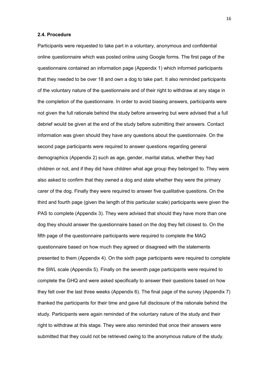#### **2.4. Procedure**

Participants were requested to take part in a voluntary, anonymous and confidential online questionnaire which was posted online using Google forms. The first page of the questionnaire contained an information page (Appendix 1) which informed participants that they needed to be over 18 and own a dog to take part. It also reminded participants of the voluntary nature of the questionnaire and of their right to withdraw at any stage in the completion of the questionnaire. In order to avoid biasing answers, participants were not given the full rationale behind the study before answering but were advised that a full debrief would be given at the end of the study before submitting their answers. Contact information was given should they have any questions about the questionnaire. On the second page participants were required to answer questions regarding general demographics (Appendix 2) such as age, gender, marital status, whether they had children or not, and if they did have children what age group they belonged to. They were also asked to confirm that they owned a dog and state whether they were the primary carer of the dog. Finally they were required to answer five qualitative questions. On the third and fourth page (given the length of this particular scale) participants were given the PAS to complete (Appendix 3). They were advised that should they have more than one dog they should answer the questionnaire based on the dog they felt closest to. On the fifth page of the questionnaire participants were required to complete the MAQ questionnaire based on how much they agreed or disagreed with the statements presented to them (Appendix 4). On the sixth page participants were required to complete the SWL scale (Appendix 5). Finally on the seventh page participants were required to complete the GHQ and were asked specifically to answer their questions based on how they felt over the last three weeks (Appendix 6). The final page of the survey (Appendix 7) thanked the participants for their time and gave full disclosure of the rationale behind the study. Participants were again reminded of the voluntary nature of the study and their right to withdraw at this stage. They were also reminded that once their answers were submitted that they could not be retrieved owing to the anonymous nature of the study.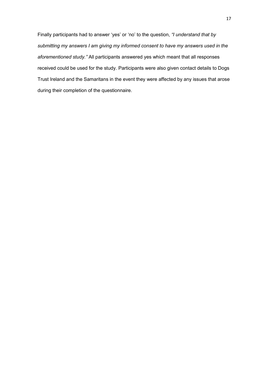Finally participants had to answer 'yes' or 'no' to the question, *"I understand that by submitting my answers I am giving my informed consent to have my answers used in the aforementioned study."* All participants answered yes which meant that all responses received could be used for the study. Participants were also given contact details to Dogs Trust Ireland and the Samaritans in the event they were affected by any issues that arose during their completion of the questionnaire.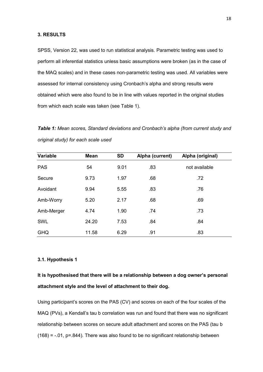SPSS, Version 22, was used to run statistical analysis. Parametric testing was used to perform all inferential statistics unless basic assumptions were broken (as in the case of the MAQ scales) and in these cases non-parametric testing was used*.* All variables were assessed for internal consistency using Cronbach's alpha and strong results were obtained which were also found to be in line with values reported in the original studies from which each scale was taken (see Table 1).

*Table 1: Mean scores, Standard deviations and Cronbach's alpha (from current study and original study) for each scale used* 

| Variable   | <b>Mean</b> | <b>SD</b> | Alpha (current) | Alpha (original) |
|------------|-------------|-----------|-----------------|------------------|
| <b>PAS</b> | 54          | 9.01      | .83             | not available    |
| Secure     | 9.73        | 1.97      | .68             | .72              |
| Avoidant   | 9.94        | 5.55      | .83             | .76              |
| Amb-Worry  | 5.20        | 2.17      | .68             | .69              |
| Amb-Merger | 4.74        | 1.90      | .74             | .73              |
| <b>SWL</b> | 24.20       | 7.53      | .84             | .84              |
| <b>GHQ</b> | 11.58       | 6.29      | .91             | .83              |

### **3.1. Hypothesis 1**

# **It is hypothesised that there will be a relationship between a dog owner's personal attachment style and the level of attachment to their dog.**

Using participant's scores on the PAS (CV) and scores on each of the four scales of the MAQ (PVs), a Kendall's tau b correlation was run and found that there was no significant relationship between scores on secure adult attachment and scores on the PAS (tau b  $(168) = -0.01$ , p=.844). There was also found to be no significant relationship between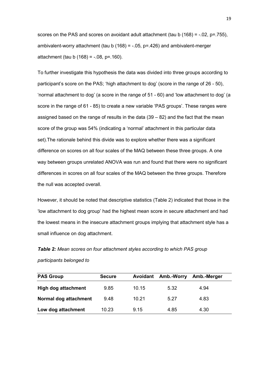scores on the PAS and scores on avoidant adult attachment (tau b  $(168) = -0.02$ , p=.755), ambivalent-worry attachment (tau  $b(168) = -.05$ ,  $p = .426$ ) and ambivalent-merger  $attachment (tau b (168) = -.08, p=.160).$ 

To further investigate this hypothesis the data was divided into three groups according to participant's score on the PAS; 'high attachment to dog' (score in the range of 26 - 50), 'normal attachment to dog' (a score in the range of 51 - 60) and 'low attachment to dog' (a score in the range of 61 - 85) to create a new variable 'PAS groups'. These ranges were assigned based on the range of results in the data (39 – 82) and the fact that the mean score of the group was 54% (indicating a 'normal' attachment in this particular data set).The rationale behind this divide was to explore whether there was a significant difference on scores on all four scales of the MAQ between these three groups. A one way between groups unrelated ANOVA was run and found that there were no significant differences in scores on all four scales of the MAQ between the three groups. Therefore the null was accepted overall.

However, it should be noted that descriptive statistics (Table 2) indicated that those in the 'low attachment to dog group' had the highest mean score in secure attachment and had the lowest means in the insecure attachment groups implying that attachment style has a small influence on dog attachment.

*Table 2: Mean scores on four attachment styles according to which PAS group participants belonged to*

| <b>PAS Group</b>      | <b>Secure</b> | Avoidant | Amb.-Worry | Amb.-Merger |  |
|-----------------------|---------------|----------|------------|-------------|--|
| High dog attachment   | 9.85          | 10.15    | 5.32       | 4.94        |  |
| Normal dog attachment | 9.48          | 10.21    | 5.27       | 4.83        |  |
| Low dog attachment    | 10.23         | 9.15     | 4.85       | 4.30        |  |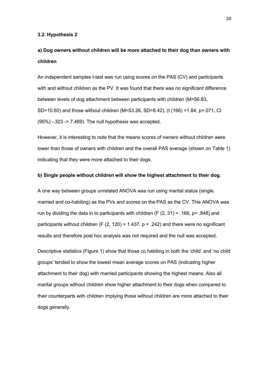#### **3.2. Hypothesis 2**

# **a) Dog owners without children will be more attached to their dog than owners with children**

An independent samples t-test was run using scores on the PAS (CV) and participants with and without children as the PV. It was found that there was no significant difference between levels of dog attachment between participants with children (M=56.83, SD=10.60) and those without children (M=53.26, SD=8.42), (t (166) =1.84, p=.071, CI (95%) -.323 -> 7.469). The null hypothesis was accepted.

However, it is interesting to note that the means scores of owners without children were lower than those of owners with children and the overall PAS average (shown on Table 1) indicating that they were more attached to their dogs.

#### **b) Single people without children will show the highest attachment to their dog.**

A one way between groups unrelated ANOVA was run using marital status (single, married and co-habiting) as the PVs and scores on the PAS as the CV. This ANOVA was run by dividing the data in to participants with children (F  $(2, 31)$  = .166, p= .848) and participants without children (F  $(2, 120) = 1.437$ , p = .242) and there were no significant results and therefore post hoc analysis was not required and the null was accepted.

Descriptive statistics (Figure 1) show that those co habiting in both the 'child' and 'no child groups' tended to show the lowest mean average scores on PAS (indicating higher attachment to their dog) with married participants showing the highest means. Also all marital groups without children show higher attachment to their dogs when compared to their counterparts with children implying those without children are more attached to their dogs generally.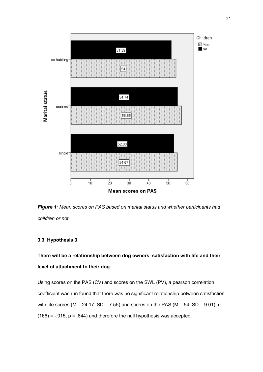

*Figure 1: Mean scores on PAS based on marital status and whether participants had children or not*

# **3.3. Hypothesis 3**

**There will be a relationship between dog owners' satisfaction with life and their level of attachment to their dog.**

Using scores on the PAS (CV) and scores on the SWL (PV), a pearson correlation coefficient was run found that there was no significant relationship between satisfaction with life scores (M = 24.17, SD = 7.55) and scores on the PAS (M = 54, SD = 9.01), (r  $(166) = -0.015$ ,  $p = 0.844$ ) and therefore the null hypothesis was accepted.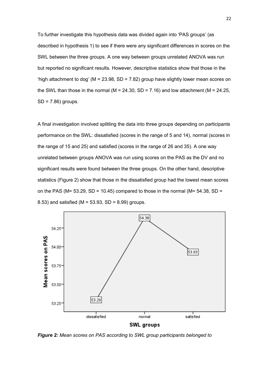To further investigate this hypothesis data was divided again into 'PAS groups' (as described in hypothesis 1) to see if there were any significant differences in scores on the SWL between the three groups. A one way between groups unrelated ANOVA was run but reported no significant results. However, descriptive statistics show that those in the 'high attachment to dog' ( $M = 23.98$ , SD = 7.82) group have slightly lower mean scores on the SWL than those in the normal ( $M = 24.30$ , SD = 7.16) and low attachment ( $M = 24.25$ , SD = 7.86) groups.

A final investigation involved splitting the data into three groups depending on participants performance on the SWL: dissatisfied (scores in the range of 5 and 14), normal (scores in the range of 15 and 25) and satisfied (scores in the range of 26 and 35). A one way unrelated between groups ANOVA was run using scores on the PAS as the DV and no significant results were found between the three groups. On the other hand, descriptive statistics (Figure 2) show that those in the dissatisfied group had the lowest mean scores on the PAS (M=  $53.29$ , SD =  $10.45$ ) compared to those in the normal (M=  $54.38$ , SD = 8.53) and satisfied ( $M = 53.93$ , SD = 8.99) groups.



*Figure 2: Mean scores on PAS according to SWL group participants belonged to*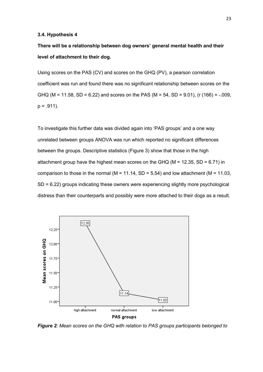#### **3.4. Hypothesis 4**

**There will be a relationship between dog owners' general mental health and their level of attachment to their dog.** 

Using scores on the PAS (CV) and scores on the GHQ (PV), a pearson correlation coefficient was run and found there was no significant relationship between scores on the GHQ (M = 11.58, SD = 6.22) and scores on the PAS (M = 54, SD = 9.01), (r (166) = -.009,  $p = .911$ ).

To investigate this further data was divided again into 'PAS groups' and a one way unrelated between groups ANOVA was run which reported no significant differences between the groups. Descriptive statistics (Figure 3) show that those in the high attachment group have the highest mean scores on the GHQ ( $M = 12.35$ , SD = 6.71) in comparison to those in the normal ( $M = 11.14$ , SD = 5.54) and low attachment ( $M = 11.03$ , SD = 6.22) groups indicating these owners were experiencing slightly more psychological distress than their counterparts and possibly were more attached to their dogs as a result.



*Figure 2: Mean scores on the GHQ with relation to PAS groups participants belonged to*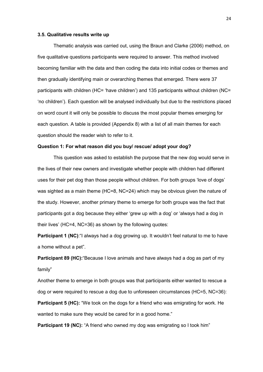#### **3.5. Qualitative results write up**

Thematic analysis was carried out, using the Braun and Clarke (2006) method, on five qualitative questions participants were required to answer. This method involved becoming familiar with the data and then coding the data into initial codes or themes and then gradually identifying main or overarching themes that emerged. There were 37 participants with children (HC= 'have children') and 135 participants without children (NC= 'no children'). Each question will be analysed individually but due to the restrictions placed on word count it will only be possible to discuss the most popular themes emerging for each question. A table is provided (Appendix 8) with a list of all main themes for each question should the reader wish to refer to it.

#### **Question 1: For what reason did you buy/ rescue/ adopt your dog?**

This question was asked to establish the purpose that the new dog would serve in the lives of their new owners and investigate whether people with children had different uses for their pet dog than those people without children. For both groups 'love of dogs' was sighted as a main theme (HC=8, NC=24) which may be obvious given the nature of the study. However, another primary theme to emerge for both groups was the fact that participants got a dog because they either 'grew up with a dog' or 'always had a dog in their lives' (HC=4, NC=36) as shown by the following quotes:

**Participant 1 (NC)**: "I always had a dog growing up. It wouldn't feel natural to me to have a home without a pet".

**Participant 89 (HC):**"Because I love animals and have always had a dog as part of my family"

Another theme to emerge in both groups was that participants either wanted to rescue a dog or were required to rescue a dog due to unforeseen circumstances (HC=5, NC=36): **Participant 5 (HC):** "We took on the dogs for a friend who was emigrating for work. He wanted to make sure they would be cared for in a good home."

**Participant 19 (NC):** "A friend who owned my dog was emigrating so I took him"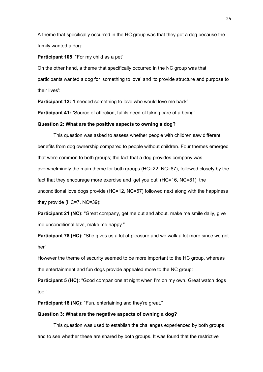A theme that specifically occurred in the HC group was that they got a dog because the family wanted a dog:

#### **Participant 105:** "For my child as a pet"

On the other hand, a theme that specifically occurred in the NC group was that participants wanted a dog for 'something to love' and 'to provide structure and purpose to their lives':

**Participant 12:** "I needed something to love who would love me back".

**Participant 41:** "Source of affection, fulfils need of taking care of a being".

#### **Question 2: What are the positive aspects to owning a dog?**

This question was asked to assess whether people with children saw different benefits from dog ownership compared to people without children. Four themes emerged that were common to both groups; the fact that a dog provides company was overwhelmingly the main theme for both groups (HC=22, NC=87), followed closely by the fact that they encourage more exercise and 'get you out' (HC=16, NC=81), the unconditional love dogs provide (HC=12, NC=57) followed next along with the happiness they provide (HC=7, NC=39):

**Participant 21 (NC):** "Great company, get me out and about, make me smile daily, give me unconditional love, make me happy."

**Participant 78 (HC):** "She gives us a lot of pleasure and we walk a lot more since we got her"

However the theme of security seemed to be more important to the HC group, whereas the entertainment and fun dogs provide appealed more to the NC group:

**Participant 5 (HC):** "Good companions at night when I'm on my own. Great watch dogs too."

Participant 18 (NC): "Fun, entertaining and they're great."

#### **Question 3: What are the negative aspects of owning a dog?**

This question was used to establish the challenges experienced by both groups and to see whether these are shared by both groups. It was found that the restrictive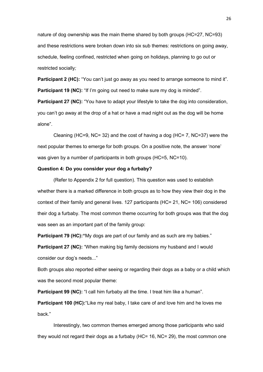nature of dog ownership was the main theme shared by both groups (HC=27, NC=93) and these restrictions were broken down into six sub themes: restrictions on going away, schedule, feeling confined, restricted when going on holidays, planning to go out or restricted socially*;*

**Participant 2 (HC):** "You can't just go away as you need to arrange someone to mind it". **Participant 19 (NC):** "If I'm going out need to make sure my dog is minded".

**Participant 27 (NC):** "You have to adapt your lifestyle to take the dog into consideration, you can't go away at the drop of a hat or have a mad night out as the dog will be home alone".

Cleaning (HC=9, NC= 32) and the cost of having a dog (HC= 7, NC=37) were the next popular themes to emerge for both groups. On a positive note, the answer 'none' was given by a number of participants in both groups (HC=5, NC=10).

#### **Question 4: Do you consider your dog a furbaby?**

(Refer to Appendix 2 for full question). This question was used to establish whether there is a marked difference in both groups as to how they view their dog in the context of their family and general lives. 127 participants (HC= 21, NC= 106) considered their dog a furbaby. The most common theme occurring for both groups was that the dog was seen as an important part of the family group:

**Participant 79 (HC):** "My dogs are part of our family and as such are my babies."

**Participant 27 (NC):** "When making big family decisions my husband and I would consider our dog's needs..."

Both groups also reported either seeing or regarding their dogs as a baby or a child which was the second most popular theme:

**Participant 99 (NC):** "I call him furbaby all the time. I treat him like a human".

**Participant 100 (HC):**"Like my real baby, I take care of and love him and he loves me back."

Interestingly, two common themes emerged among those participants who said they would not regard their dogs as a furbaby (HC= 16, NC= 29), the most common one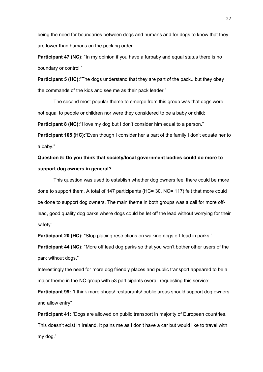being the need for boundaries between dogs and humans and for dogs to know that they are lower than humans on the pecking order:

**Participant 47 (NC):** "In my opinion if you have a furbaby and equal status there is no boundary or control."

**Participant 5 (HC):** The dogs understand that they are part of the pack...but they obey the commands of the kids and see me as their pack leader."

The second most popular theme to emerge from this group was that dogs were not equal to people or children nor were they considered to be a baby or child:

**Participant 8 (NC):**"I love my dog but I don't consider him equal to a person."

**Participant 105 (HC):**"Even though I consider her a part of the family I don't equate her to a baby."

# **Question 5: Do you think that society/local government bodies could do more to support dog owners in general?**

This question was used to establish whether dog owners feel there could be more done to support them. A total of 147 participants (HC= 30, NC= 117) felt that more could be done to support dog owners. The main theme in both groups was a call for more offlead, good quality dog parks where dogs could be let off the lead without worrying for their safety:

**Participant 20 (HC):** "Stop placing restrictions on walking dogs off-lead in parks."

**Participant 44 (NC):** "More off lead dog parks so that you won't bother other users of the park without dogs."

Interestingly the need for more dog friendly places and public transport appeared to be a major theme in the NC group with 53 participants overall requesting this service:

**Participant 99:** "I think more shops/ restaurants/ public areas should support dog owners and allow entry"

**Participant 41:** "Dogs are allowed on public transport in majority of European countries. This doesn't exist in Ireland. It pains me as I don't have a car but would like to travel with my dog."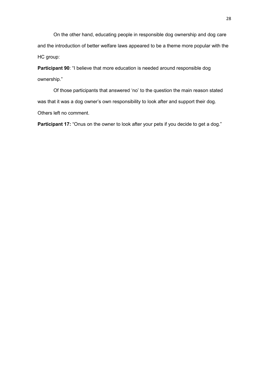On the other hand, educating people in responsible dog ownership and dog care and the introduction of better welfare laws appeared to be a theme more popular with the HC group:

**Participant 90**: "I believe that more education is needed around responsible dog ownership."

Of those participants that answered 'no' to the question the main reason stated was that it was a dog owner's own responsibility to look after and support their dog. Others left no comment.

Participant 17: "Onus on the owner to look after your pets if you decide to get a dog."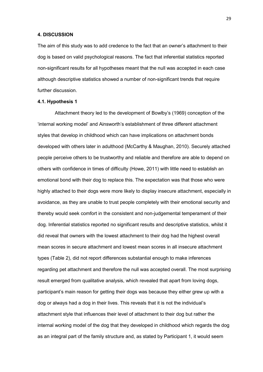#### **4. DISCUSSION**

The aim of this study was to add credence to the fact that an owner's attachment to their dog is based on valid psychological reasons. The fact that inferential statistics reported non-significant results for all hypotheses meant that the null was accepted in each case although descriptive statistics showed a number of non-significant trends that require further discussion.

#### **4.1. Hypothesis 1**

Attachment theory led to the development of Bowlby's (1969) conception of the 'internal working model' and Ainsworth's establishment of three different attachment styles that develop in childhood which can have implications on attachment bonds developed with others later in adulthood (McCarthy & Maughan, 2010). Securely attached people perceive others to be trustworthy and reliable and therefore are able to depend on others with confidence in times of difficulty (Howe, 2011) with little need to establish an emotional bond with their dog to replace this. The expectation was that those who were highly attached to their dogs were more likely to display insecure attachment, especially in avoidance, as they are unable to trust people completely with their emotional security and thereby would seek comfort in the consistent and non-judgemental temperament of their dog. Inferential statistics reported no significant results and descriptive statistics, whilst it did reveal that owners with the lowest attachment to their dog had the highest overall mean scores in secure attachment and lowest mean scores in all insecure attachment types (Table 2), did not report differences substantial enough to make inferences regarding pet attachment and therefore the null was accepted overall. The most surprising result emerged from qualitative analysis, which revealed that apart from loving dogs, participant's main reason for getting their dogs was because they either grew up with a dog or always had a dog in their lives. This reveals that it is not the individual's attachment style that influences their level of attachment to their dog but rather the internal working model of the dog that they developed in childhood which regards the dog as an integral part of the family structure and, as stated by Participant 1, it would seem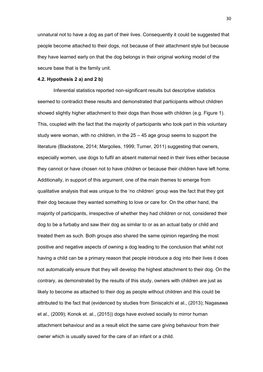unnatural not to have a dog as part of their lives. Consequently it could be suggested that people become attached to their dogs, not because of their attachment style but because they have learned early on that the dog belongs in their original working model of the secure base that is the family unit.

#### **4.2. Hypothesis 2 a) and 2 b)**

Inferential statistics reported non-significant results but descriptive statistics seemed to contradict these results and demonstrated that participants without children showed slightly higher attachment to their dogs than those with children (e.g. Figure 1). This, coupled with the fact that the majority of participants who took part in this voluntary study were woman, with no children, in the 25 – 45 age group seems to support the literature (Blackstone, 2014; Margolies, 1999; Turner, 2011) suggesting that owners, especially women, use dogs to fulfil an absent maternal need in their lives either because they cannot or have chosen not to have children or because their children have left home. Additionally, in support of this argument, one of the main themes to emerge from qualitative analysis that was unique to the 'no children' group was the fact that they got their dog because they wanted something to love or care for. On the other hand, the majority of participants, irrespective of whether they had children or not, considered their dog to be a furbaby and saw their dog as similar to or as an actual baby or child and treated them as such. Both groups also shared the same opinion regarding the most positive and negative aspects of owning a dog leading to the conclusion that whilst not having a child can be a primary reason that people introduce a dog into their lives it does not automatically ensure that they will develop the highest attachment to their dog. On the contrary, as demonstrated by the results of this study, owners with children are just as likely to become as attached to their dog as people without children and this could be attributed to the fact that (evidenced by studies from Siniscalchi et al., (2013); Nagasawa et al., (2009); Konok et. al., (2015)) dogs have evolved socially to mirror human attachment behaviour and as a result elicit the same care giving behaviour from their owner which is usually saved for the care of an infant or a child.

30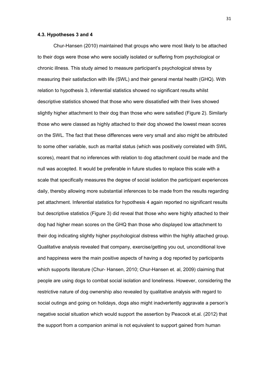#### **4.3. Hypotheses 3 and 4**

Chur-Hansen (2010) maintained that groups who were most likely to be attached to their dogs were those who were socially isolated or suffering from psychological or chronic illness. This study aimed to measure participant's psychological stress by measuring their satisfaction with life (SWL) and their general mental health (GHQ). With relation to hypothesis 3, inferential statistics showed no significant results whilst descriptive statistics showed that those who were dissatisfied with their lives showed slightly higher attachment to their dog than those who were satisfied (Figure 2). Similarly those who were classed as highly attached to their dog showed the lowest mean scores on the SWL. The fact that these differences were very small and also might be attributed to some other variable, such as marital status (which was positively correlated with SWL scores), meant that no inferences with relation to dog attachment could be made and the null was accepted. It would be preferable in future studies to replace this scale with a scale that specifically measures the degree of social isolation the participant experiences daily, thereby allowing more substantial inferences to be made from the results regarding pet attachment. Inferential statistics for hypothesis 4 again reported no significant results but descriptive statistics (Figure 3) did reveal that those who were highly attached to their dog had higher mean scores on the GHQ than those who displayed low attachment to their dog indicating slightly higher psychological distress within the highly attached group. Qualitative analysis revealed that company, exercise/getting you out, unconditional love and happiness were the main positive aspects of having a dog reported by participants which supports literature (Chur- Hansen, 2010; Chur-Hansen et. al, 2009) claiming that people are using dogs to combat social isolation and loneliness. However, considering the restrictive nature of dog ownership also revealed by qualitative analysis with regard to social outings and going on holidays, dogs also might inadvertently aggravate a person's negative social situation which would support the assertion by Peacock et.al. (2012) that the support from a companion animal is not equivalent to support gained from human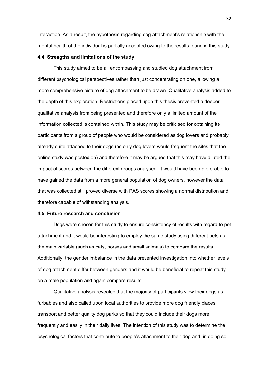interaction. As a result, the hypothesis regarding dog attachment's relationship with the mental health of the individual is partially accepted owing to the results found in this study.

#### **4.4. Strengths and limitations of the study**

This study aimed to be all encompassing and studied dog attachment from different psychological perspectives rather than just concentrating on one, allowing a more comprehensive picture of dog attachment to be drawn. Qualitative analysis added to the depth of this exploration. Restrictions placed upon this thesis prevented a deeper qualitative analysis from being presented and therefore only a limited amount of the information collected is contained within. This study may be criticised for obtaining its participants from a group of people who would be considered as dog lovers and probably already quite attached to their dogs (as only dog lovers would frequent the sites that the online study was posted on) and therefore it may be argued that this may have diluted the impact of scores between the different groups analysed. It would have been preferable to have gained the data from a more general population of dog owners, however the data that was collected still proved diverse with PAS scores showing a normal distribution and therefore capable of withstanding analysis.

#### **4.5. Future research and conclusion**

Dogs were chosen for this study to ensure consistency of results with regard to pet attachment and it would be interesting to employ the same study using different pets as the main variable (such as cats, horses and small animals) to compare the results. Additionally, the gender imbalance in the data prevented investigation into whether levels of dog attachment differ between genders and it would be beneficial to repeat this study on a male population and again compare results.

Qualitative analysis revealed that the majority of participants view their dogs as furbabies and also called upon local authorities to provide more dog friendly places, transport and better quality dog parks so that they could include their dogs more frequently and easily in their daily lives. The intention of this study was to determine the psychological factors that contribute to people's attachment to their dog and, in doing so,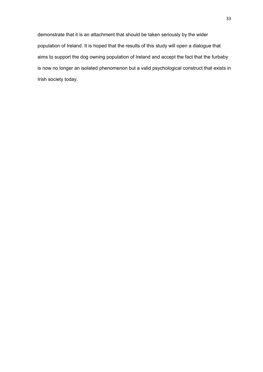demonstrate that it is an attachment that should be taken seriously by the wider population of Ireland. It is hoped that the results of this study will open a dialogue that aims to support the dog owning population of Ireland and accept the fact that the furbaby is now no longer an isolated phenomenon but a valid psychological construct that exists in Irish society today.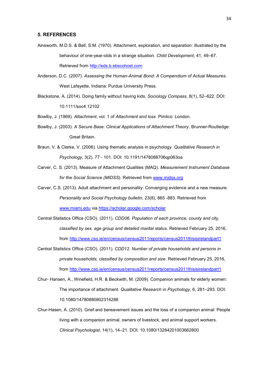#### **5. REFERENCES**

- Ainsworth, M.D.S. & Bell, S.M. (1970). Attachment, exploration, and separation: illustrated by the behaviour of one-year-olds in a strange situation. *Child Development,* 41, 49–67. Retrieved from [http://eds.b.ebscohost.com](http://eds.b.ebscohost.com/)
- Anderson, D.C. (2007). *Assessing the Human-Animal Bond: A Compendium of Actual Measures.* West Lafayette, Indiana: Purdue University Press.
- Blackstone, A. (2014). Doing family without having kids. *Sociology Compass*, 8(1), 52–622. DOI: 10.1111/soc4.12102
- Bowlby, J. (1969). *Attachment*, vol. 1 of *Attachment and loss*. Pimlico: London.
- Bowlby, J. (2003). *A Secure Base: Clinical Applications of Attachment Theory*. Brunner-Routledge: Great Britain.
- Braun, V. & Clarke, V. (2006). Using thematic analysis in psychology. *Qualitative Research in Psychology,* 3(2), 77 - 101. DOI: 10.1191/1478088706qp063oa
- Carver, C. S. (2013). Measure of Attachment Qualities (MAQ). *Measurement Instrument Database for the Social Science (MIDSS)*. Retrieved from [www.midss.org](http://www.midss.org/)
- Carver, C.S. (2013). Adult attachment and personality: Converging evidence and a new measure. *Personality and Social Psychology bulletin*, 23(8), 865 -883. Retrieved from [www.miami.edu](http://www.miami.edu/) via<https://scholar.google.com/scholar>
- Central Statistics Office (CSO). (2011). *CDD06. Population of each province, county and city, classified by sex, age group and detailed marital status*. Retrieved February 25, 2016, from<http://www.cso.ie/en/census/census2011reports/census2011thisisirelandpart1>
- Central Statistics Office (CSO). (2011). *CDD12. Number of private households and persons in private households, classified by composition and size*. Retrieved February 25, 2016, from<http://www.cso.ie/en/census/census2011reports/census2011thisisirelandpart1>
- Chur- Hansen, A., Winefield, H.R. & Beckwith, M. (2009). Companion animals for elderly women: The importance of attachment. *Qualitative Research in Psychology,* 6, 281–293. DOI: 10.1080/14780880802314288
- Chur-Hasen, A. (2010). Grief and bereavement issues and the loss of a companion animal: People living with a companion animal, owners of livestock, and animal support workers. *Clinical Psychologist*, 14(1), 14–21. DOI: 10.1080/13284201003662800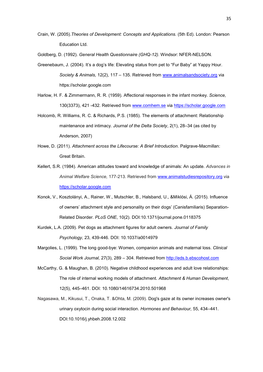- Crain, W. (2005).*Theories of Development: Concepts and Applications.* (5th Ed). London: Pearson Education Ltd.
- Goldberg, D. (1992). *General Health Questionnaire (GHQ-12).* Windsor: NFER-NELSON.
- Greenebaum, J. (2004). It's a dog's life: Elevating status from pet to "Fur Baby" at Yappy Hour. *Society & Animals,* 12(2), 117 – 135. Retrieved from [www.animalsandsociety.org](http://www.animalsandsociety.org/) via https://scholar.google.com
- Harlow, H. F. & Zimmermann, R. R. (1959). Affectional responses in the infant monkey. *Science,*  130(3373), 421 -432. Retrieved from [www.comhem.se](http://www.comhem.se/) via [https://scholar.google.com](https://scholar.google.com/)
- Holcomb, R. Williams, R. C. & Richards, P.S. (1985). The elements of attachment: Relationship maintenance and intimacy. *Journal of the Delta Society*, 2(1), 28–34 (as cited by Anderson, 2007)
- Howe, D. (2011). *Attachment across the Lifecourse: A Brief Introduction*. Palgrave-Macmillan: Great Britain.
- Kellert, S.R. (1984). American attitudes toward and knowledge of animals: An update. *Advances in Animal Welfare Science,* 177-213. Retrieved from [www.animalstudiesrepository.org](http://www.animalstudiesrepository.org/) via [https://scholar.google.com](https://scholar.google.com/)
- Konok, V., Kosztolányi, A., Rainer, W., Mutschler, B., Halsband, U., &Miklósi, Á. (2015). Influence of owners' attachment style and personality on their dogs' (Canisfamiliaris) Separation-Related Disorder. *PLoS ONE*, 10(2). DOI:10.1371/journal.pone.0118375
- Kurdek, L.A. (2009). Pet dogs as attachment figures for adult owners. *Journal of Family Psychology*, 23, 439-446. DOI: 10.1037/a0014979
- Margolies, L. (1999). The long good-bye: Women, companion animals and maternal loss. *Clinical Social Work Journal,* 27(3), 289 – 304. Retrieved from [http://eds.b.ebscohost.com](http://eds.b.ebscohost.com/)
- McCarthy, G. & Maughan, B. (2010). Negative childhood experiences and adult love relationships: The role of internal working models of attachment. *Attachment & Human Development*, 12(5), 445–461. DOI: 10.1080/14616734.2010.501968
- Nagasawa, M., Kikusui, T., Onaka, T. &Ohta, M. (2009). Dog's gaze at its owner increases owner's urinary oxytocin during social interaction. *Hormones and Behaviour,* 55, 434–441. DOI:10.1016/j.yhbeh.2008.12.002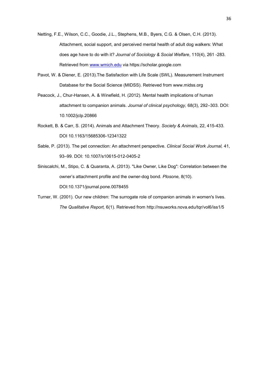- Netting, F.E., Wilson, C.C., Goodie, J.L., Stephens, M.B., Byers, C.G. & Olsen, C.H. (2013). Attachment, social support, and perceived mental health of adult dog walkers: What does age have to do with it? *Journal of Sociology & Social Welfare*, 110(4), 261 -283. Retrieved from [www.wmich.edu](http://www.wmich.edu/) via https://scholar.google.com
- Pavot, W. & Diener, E. (2013).The Satisfaction with Life Scale (SWL). Measurement Instrument Database for the Social Science (MIDSS). Retrieved from www.midss.org
- Peacock, J., Chur-Hansen, A. & Winefield, H. (2012). Mental health implications of human attachment to companion animals. *Journal of clinical psychology,* 68(3), 292–303. DOI: 10.1002/jclp.20866
- Rockett, B. & Carr, S. (2014). Animals and Attachment Theory. *Society & Animals*, 22, 415-433. DOI 10.1163/15685306-12341322
- Sable, P. (2013). The pet connection: An attachment perspective. *Clinical Social Work Journal,* 41, 93–99. DOI: 10.1007/s10615-012-0405-2
- Siniscalchi, M., Stipo, C. & Quaranta, A. (2013). "Like Owner, Like Dog": Correlation between the owner's attachment profile and the owner-dog bond*. Plosone,* 8(10). DOI:10.1371/journal.pone.0078455
- Turner, W. (2001). Our new children: The surrogate role of companion animals in women's lives. *The Qualitative Report,* 6(1). Retrieved from http://nsuworks.nova.edu/tqr/vol6/iss1/5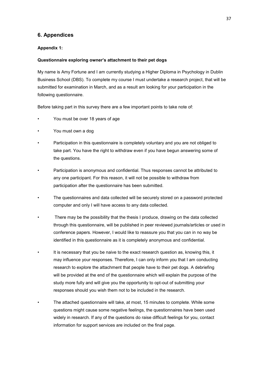# **6. Appendices**

#### **Appendix 1:**

#### **Questionnaire exploring owner's attachment to their pet dogs**

My name is Amy Fortune and I am currently studying a Higher Diploma in Psychology in Dublin Business School (DBS). To complete my course I must undertake a research project, that will be submitted for examination in March, and as a result am looking for your participation in the following questionnaire.

Before taking part in this survey there are a few important points to take note of:

- You must be over 18 years of age
- You must own a dog
- Participation in this questionnaire is completely voluntary and you are not obliged to take part. You have the right to withdraw even if you have begun answering some of the questions.
- Participation is anonymous and confidential. Thus responses cannot be attributed to any one participant. For this reason, it will not be possible to withdraw from participation after the questionnaire has been submitted.
- The questionnaires and data collected will be securely stored on a password protected computer and only I will have access to any data collected.
- There may be the possibility that the thesis I produce, drawing on the data collected through this questionnaire, will be published in peer reviewed journals/articles or used in conference papers. However, I would like to reassure you that you can in no way be identified in this questionnaire as it is completely anonymous and confidential.
- It is necessary that you be naive to the exact research question as, knowing this, it may influence your responses. Therefore, I can only inform you that I am conducting research to explore the attachment that people have to their pet dogs. A debriefing will be provided at the end of the questionnaire which will explain the purpose of the study more fully and will give you the opportunity to opt-out of submitting your responses should you wish them not to be included in the research.
- The attached questionnaire will take, at most, 15 minutes to complete. While some questions might cause some negative feelings, the questionnaires have been used widely in research. If any of the questions do raise difficult feelings for you, contact information for support services are included on the final page.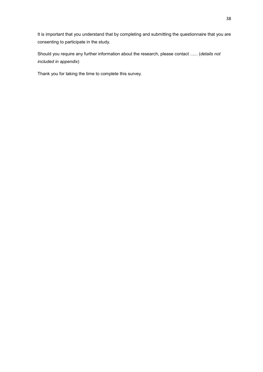It is important that you understand that by completing and submitting the questionnaire that you are consenting to participate in the study.

Should you require any further information about the research, please contact ...... (*details not included in appendix*)

Thank you for taking the time to complete this survey.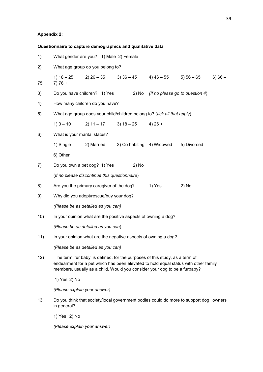### **Appendix 2:**

|     | Questionnaire to capture demographics and qualitative data                                                                                                                                                                                       |  |  |  |  |
|-----|--------------------------------------------------------------------------------------------------------------------------------------------------------------------------------------------------------------------------------------------------|--|--|--|--|
| 1)  | What gender are you? 1) Male 2) Female                                                                                                                                                                                                           |  |  |  |  |
| 2)  | What age group do you belong to?                                                                                                                                                                                                                 |  |  |  |  |
| 75  | 2) $26 - 35$ 3) $36 - 45$ 4) $46 - 55$ 5) $56 - 65$<br>1) $18 - 25$<br>$6) 66 -$<br>$7)76+$                                                                                                                                                      |  |  |  |  |
| 3)  | Do you have children? 1) Yes<br>(If no please go to question 4)<br>2) No                                                                                                                                                                         |  |  |  |  |
| 4)  | How many children do you have?                                                                                                                                                                                                                   |  |  |  |  |
| 5)  | What age group does your child/children belong to? (tick all that apply)                                                                                                                                                                         |  |  |  |  |
|     | $1) 0 - 10$<br>$2) 11 - 17$ 3) $18 - 25$ 4) $26 +$                                                                                                                                                                                               |  |  |  |  |
| 6)  | What is your marital status?                                                                                                                                                                                                                     |  |  |  |  |
|     | 1) Single<br>2) Married<br>3) Co habiting 4) Widowed 5) Divorced                                                                                                                                                                                 |  |  |  |  |
|     | 6) Other                                                                                                                                                                                                                                         |  |  |  |  |
| 7)  | Do you own a pet dog? 1) Yes<br>2) No                                                                                                                                                                                                            |  |  |  |  |
|     | (If no please discontinue this questionnaire)                                                                                                                                                                                                    |  |  |  |  |
| 8)  | Are you the primary caregiver of the dog?<br>$2)$ No<br>1) Yes                                                                                                                                                                                   |  |  |  |  |
| 9)  | Why did you adopt/rescue/buy your dog?                                                                                                                                                                                                           |  |  |  |  |
|     | (Please be as detailed as you can)                                                                                                                                                                                                               |  |  |  |  |
| 10) | In your opinion what are the positive aspects of owning a dog?                                                                                                                                                                                   |  |  |  |  |
|     | (Please be as detailed as you can)                                                                                                                                                                                                               |  |  |  |  |
| 11) | In your opinion what are the negative aspects of owning a dog?                                                                                                                                                                                   |  |  |  |  |
|     | (Please be as detailed as you can)                                                                                                                                                                                                               |  |  |  |  |
| 12) | The term 'fur baby' is defined, for the purposes of this study, as a term of<br>endearment for a pet which has been elevated to hold equal status with other family<br>members, usually as a child. Would you consider your dog to be a furbaby? |  |  |  |  |
|     | 1) Yes 2) No                                                                                                                                                                                                                                     |  |  |  |  |
|     | (Please explain your answer)                                                                                                                                                                                                                     |  |  |  |  |
| 13. | Do you think that society/local government bodies could do more to support dog owners<br>in general?                                                                                                                                             |  |  |  |  |
|     | 1) Yes 2) No                                                                                                                                                                                                                                     |  |  |  |  |
|     | (Please explain your answer)                                                                                                                                                                                                                     |  |  |  |  |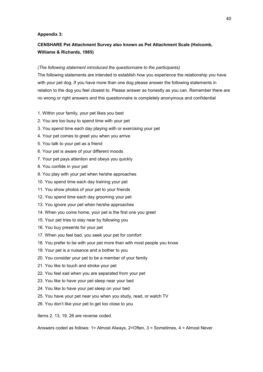#### **Appendix 3:**

# **CENSHARE Pet Attachment Survey also known as Pet Attachment Scale (Holcomb, Williams & Richards, 1985)**

#### *(The following statement introduced the questionnaire to the participants)*

The following statements are intended to establish how you experience the relationship you have with your pet dog. If you have more than one dog please answer the following statements in relation to the dog you feel closest to. Please answer as honestly as you can. Remember there are no wrong or right answers and this questionnaire is completely anonymous and confidential

- 1. Within your family, your pet likes you best
- 2. You are too busy to spend time with your pet
- 3. You spend time each day playing with or exercising your pet
- 4. Your pet comes to greet you when you arrive
- 5. You talk to your pet as a friend
- 6. Your pet is aware of your different moods
- 7. Your pet pays attention and obeys you quickly
- 8. You confide in your pet
- 9. You play with your pet when he/she approaches
- 10. You spend time each day training your pet
- 11. You show photos of your pet to your friends
- 12. You spend time each day grooming your pet
- 13. You ignore your pet when he/she approaches
- 14. When you come home, your pet is the first one you greet
- 15. Your pet tries to stay near by following you
- 16. You buy presents for your pet
- 17. When you feel bad, you seek your pet for comfort
- 18. You prefer to be with your pet more than with most people you know
- 19. Your pet is a nuisance and a bother to you
- 20. You consider your pet to be a member of your family
- 21. You like to touch and stroke your pet
- 22. You feel sad when you are separated from your pet
- 23. You like to have your pet sleep near your bed
- 24. You like to have your pet sleep on your bed
- 25. You have your pet near you when you study, read, or watch TV
- 26. You don't like your pet to get too close to you

Items 2, 13, 19, 26 are reverse coded.

Answers coded as follows: 1= Almost Always, 2=Often, 3 = Sometimes, 4 = Almost Never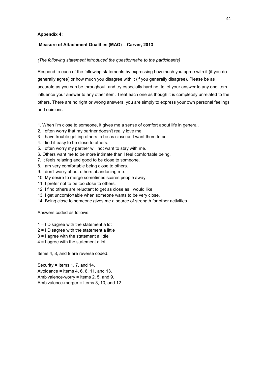#### **Appendix 4:**

#### **Measure of Attachment Qualities (MAQ) – Carver, 2013**

#### *(The following statement introduced the questionnaire to the participants)*

Respond to each of the following statements by expressing how much you agree with it (if you do generally agree) or how much you disagree with it (if you generally disagree). Please be as accurate as you can be throughout, and try especially hard not to let your answer to any one item influence your answer to any other item. Treat each one as though it is completely unrelated to the others. There are no right or wrong answers, you are simply to express your own personal feelings and opinions

- 1. When I'm close to someone, it gives me a sense of comfort about life in general.
- 2. I often worry that my partner doesn't really love me.
- 3. I have trouble getting others to be as close as I want them to be.
- 4. I find it easy to be close to others.
- 5. I often worry my partner will not want to stay with me.
- 6. Others want me to be more intimate than I feel comfortable being.
- 7. It feels relaxing and good to be close to someone.
- 8. I am very comfortable being close to others.
- 9. I don't worry about others abandoning me.
- 10. My desire to merge sometimes scares people away.
- 11. I prefer not to be too close to others.
- 12. I find others are reluctant to get as close as I would like.
- 13. I get uncomfortable when someone wants to be very close.
- 14. Being close to someone gives me a source of strength for other activities.

Answers coded as follows:

.

- 1 = I Disagree with the statement a lot
- 2 = I Disagree with the statement a little
- 3 = I agree with the statement a little
- 4 = I agree with the statement a lot

Items 4, 8, and 9 are reverse coded.

Security = Items 1, 7, and 14. Avoidance = Items 4, 6, 8, 11, and 13. Ambivalence-worry = Items 2, 5, and 9. Ambivalence-merger = Items 3, 10, and 12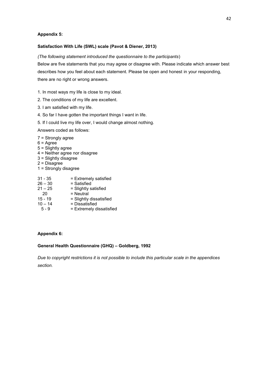#### **Appendix 5:**

#### **Satisfaction With Life (SWL) scale (Pavot & Diener, 2013)**

#### *(The following statement introduced the questionnaire to the participants*)

Below are five statements that you may agree or disagree with. Please indicate which answer best describes how you feel about each statement. Please be open and honest in your responding, there are no right or wrong answers.

- 1. In most ways my life is close to my ideal.
- 2. The conditions of my life are excellent.
- 3. I am satisfied with my life.
- 4. So far I have gotten the important things I want in life.
- 5. If I could live my life over, I would change almost nothing.
- Answers coded as follows:
- 7 = Strongly agree
- $6 = \text{Agree}$
- 5 = Slightly agree
- 4 = Neither agree nor disagree
- 3 = Slightly disagree
- 2 = Disagree
- 1 = Strongly disagree
- 31 35 = Extremely satisfied
- $26 30$  = Satisfied
- $21 25$  = Slightly satisfied
- 20 = Neutral
- 15 19 = Slightly dissatisfied
- $10 14$  = Dissatisfied
- 5 9 = Extremely dissatisfied

#### **Appendix 6:**

#### **General Health Questionnaire (GHQ) – Goldberg, 1992**

*Due to copyright restrictions it is not possible to include this particular scale in the appendices section.*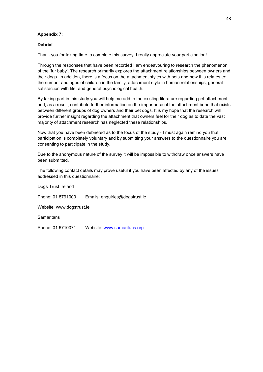#### **Appendix 7:**

#### **Debrief**

Thank you for taking time to complete this survey. I really appreciate your participation!

Through the responses that have been recorded I am endeavouring to research the phenomenon of the 'fur baby'. The research primarily explores the attachment relationships between owners and their dogs. In addition, there is a focus on the attachment styles with pets and how this relates to: the number and ages of children in the family; attachment style in human relationships; general satisfaction with life; and general psychological health.

By taking part in this study you will help me add to the existing literature regarding pet attachment and, as a result, contribute further information on the importance of the attachment bond that exists between different groups of dog owners and their pet dogs. It is my hope that the research will provide further insight regarding the attachment that owners feel for their dog as to date the vast majority of attachment research has neglected these relationships.

Now that you have been debriefed as to the focus of the study - I must again remind you that participation is completely voluntary and by submitting your answers to the questionnaire you are consenting to participate in the study.

Due to the anonymous nature of the survey it will be impossible to withdraw once answers have been submitted.

The following contact details may prove useful if you have been affected by any of the issues addressed in this questionnaire:

Dogs Trust Ireland

Phone: 01 8791000 Emails: enquiries@dogstrust.ie

Website: www.dogstrust.ie

**Samaritans** 

Phone: 01 6710071 Website: [www.samaritans.org](http://www.samaritans.org/)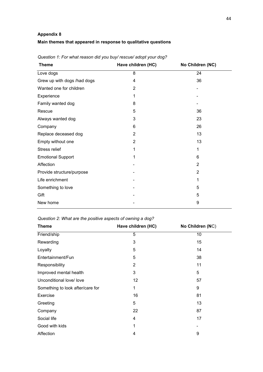# **Appendix 8 Main themes that appeared in response to qualitative questions**

| Have children (HC) | No Children (NC) |
|--------------------|------------------|
| 8                  | 24               |
| 4                  | 36               |
| $\overline{2}$     |                  |
| 1                  |                  |
| 8                  |                  |
| 5                  | 36               |
| 3                  | 23               |
| 6                  | 26               |
| $\overline{2}$     | 13               |
| $\overline{2}$     | 13               |
| 1                  | 1                |
| 1                  | 6                |
|                    | $\overline{2}$   |
|                    | $\overline{2}$   |
|                    | 1                |
|                    | 5                |
|                    | 5                |
|                    | 9                |
|                    |                  |

*Question 1: For what reason did you buy/ rescue/ adopt your dog?*

*Question 2: What are the positive aspects of owning a dog?*

| <b>Theme</b>                     | Have children (HC) | No Children (NC) |
|----------------------------------|--------------------|------------------|
| Friend/ship                      | 5                  | 10               |
| Rewarding                        | 3                  | 15               |
| Loyalty                          | 5                  | 14               |
| Entertainment/Fun                | 5                  | 38               |
| Responsibility                   | 2                  | 11               |
| Improved mental health           | 3                  | 5                |
| Unconditional love/ love         | 12                 | 57               |
| Something to look after/care for | 1                  | 9                |
| Exercise                         | 16                 | 81               |
| Greeting                         | 5                  | 13               |
| Company                          | 22                 | 87               |
| Social life                      | 4                  | 17               |
| Good with kids                   | 1                  |                  |
| Affection                        | 4                  | 9                |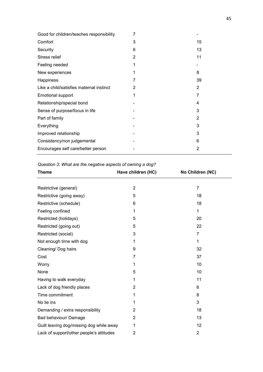| Good for children/teaches responsibility | 7 |    |
|------------------------------------------|---|----|
| Comfort                                  | 3 | 15 |
| Security                                 | 6 | 13 |
| Stress relief                            | 2 | 11 |
| Feeling needed                           | 1 |    |
| New experiences                          | 1 | 8  |
| Happiness                                | 7 | 39 |
| Like a child/satisfies maternal instinct | 2 | 2  |
| Emotional support                        | 1 | 7  |
| Relationship/special bond                |   | 4  |
| Sense of purpose/focus in life           |   | 3  |
| Part of family                           |   | 2  |
| Everything                               |   | 3  |
| Improved relationship                    |   | 3  |
| Consistency/non judgemental              |   | 6  |
| Encourages self care/better person       |   | 2  |

*Question 3: What are the negative aspects of owning a dog?*

| <b>Theme</b>                             | Have children (HC) | No Children (NC) |
|------------------------------------------|--------------------|------------------|
|                                          |                    |                  |
| Restrictive (general)                    | $\overline{2}$     | $\overline{7}$   |
| Restrictive (going away)                 | 5                  | 18               |
| Restrictive (schedule)                   | 6                  | 18               |
| Feeling confined                         | 1                  | 1                |
| Restricted (holidays)                    | 5                  | 20               |
| Restricted (going out)                   | 5                  | 22               |
| Restricted (social)                      | 3                  | 7                |
| Not enough time with dog                 | 1                  | 1                |
| Cleaning/ Dog hairs                      | 9                  | 32               |
| Cost                                     | 7                  | 37               |
| Worry                                    | 1                  | 10               |
| None                                     | 5                  | 10               |
| Having to walk everyday                  | 1                  | 11               |
| Lack of dog friendly places              | 2                  | 6                |
| Time commitment                          | 1                  | 8                |
| No lie ins                               | 1                  | 3                |
| Demanding / extra responsibility         | $\overline{2}$     | 18               |
| Bad behaviour/ Damage                    | 2                  | 13               |
| Guilt leaving dog/missing dog while away | 1                  | 12               |
| Lack of support/other people's attitudes | 2                  | $\overline{2}$   |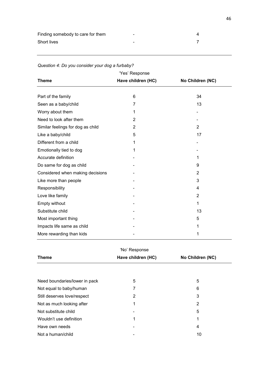| Finding somebody to care for them | $\overline{\phantom{a}}$ |  |
|-----------------------------------|--------------------------|--|
| Short lives                       | -                        |  |

| 'Yes' Response                    |                    |                  |  |  |  |
|-----------------------------------|--------------------|------------------|--|--|--|
| <b>Theme</b>                      | Have children (HC) | No Children (NC) |  |  |  |
|                                   |                    |                  |  |  |  |
| Part of the family                | 6                  | 34               |  |  |  |
| Seen as a baby/child              | 7                  | 13               |  |  |  |
| Worry about them                  | 1                  |                  |  |  |  |
| Need to look after them           | $\overline{2}$     |                  |  |  |  |
| Similar feelings for dog as child | $\overline{2}$     | $\overline{2}$   |  |  |  |
| Like a baby/child                 | 5                  | 17               |  |  |  |
| Different from a child            | 1                  |                  |  |  |  |
| Emotionally tied to dog           | 1                  |                  |  |  |  |
| Accurate definition               |                    | 1                |  |  |  |
| Do same for dog as child          |                    | 9                |  |  |  |
| Considered when making decisions  |                    | $\overline{2}$   |  |  |  |
| Like more than people             |                    | 3                |  |  |  |
| Responsibility                    |                    | 4                |  |  |  |
| Love like family                  |                    | $\overline{2}$   |  |  |  |
| Empty without                     |                    | 1                |  |  |  |
| Substitute child                  |                    | 13               |  |  |  |
| Most important thing              |                    | 5                |  |  |  |
| Impacts life same as child        |                    | 1                |  |  |  |
| More rewarding than kids          |                    | 1                |  |  |  |
|                                   |                    |                  |  |  |  |

#### *Question 4: Do you consider your dog a furbaby?*

|  | 'No' Response |  |
|--|---------------|--|

| <b>Theme</b>                  | Have children (HC) | No Children (NC) |  |
|-------------------------------|--------------------|------------------|--|
|                               |                    |                  |  |
| Need boundaries/lower in pack | 5                  | 5                |  |
| Not equal to baby/human       | 7                  | 6                |  |
| Still deserves love/respect   | 2                  | 3                |  |
| Not as much looking after     | 1                  | 2                |  |
| Not substitute child          |                    | 5                |  |
| Wouldn't use definition       | 1                  | 1                |  |
| Have own needs                |                    | 4                |  |
| Not a human/child             |                    | 10               |  |